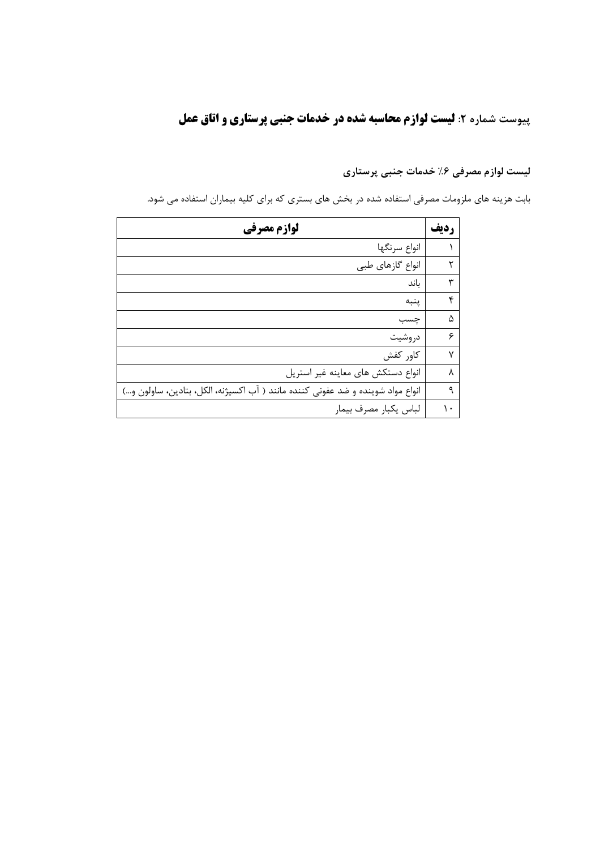## **پیوست شماره ۲: لیست لوازم محاسبه شده در خدمات جنبی پرستاری و اتاق عمل**

لیست لوازم مصرفی ۶٪ خدمات جنبی پرستاری

بابت هزینه های ملزومات مصرفی استفاده شده در بخش های بستری که برای کلیه بیماران استفاده می شود.

| لوازم مصرفي                                                                     | رديف |
|---------------------------------------------------------------------------------|------|
| انواع سرنگها                                                                    |      |
| انواع گازهای طبی                                                                | ٢    |
| باند                                                                            | ٣    |
| ينبه                                                                            | ۴    |
| چسب                                                                             | ۵    |
| دروشيت                                                                          | ۶    |
| كاور كفش                                                                        | ٧    |
| انواع دستكش هاى معاينه غير استريل                                               | ٨    |
| انواع مواد شوینده و ضد عفونی کننده مانند ( آب اکسیژنه، الکل، بتادین، ساولون و…) | ٩    |
| لباس يكبار مصرف بيمار                                                           | ١.   |